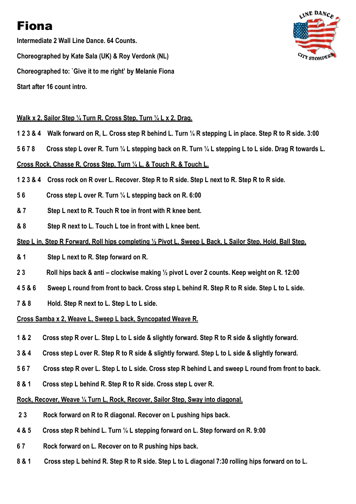# Fiona

Intermediate 2 Wall Line Dance. 64 Counts. Choreographed by Kate Sala (UK) & Roy Verdonk (NL) Choreographed to: `Give it to me right' by Melanie Fiona Start after 16 count intro.



# Walk x 2, Sailor Step 1/4 Turn R, Cross Step, Turn 1/4 L x 2, Drag.

- 1 2 3 & 4 Walk forward on R, L. Cross step R behind L. Turn ¼ R stepping L in place. Step R to R side. 3:00
- 5 6 7 8 Cross step L over R. Turn ¼ L stepping back on R. Turn ¼ L stepping L to L side. Drag R towards L.

## Cross Rock, Chasse R, Cross Step, Turn ¼ L, & Touch R, & Touch L.

- 1 2 3 & 4 Cross rock on R over L. Recover. Step R to R side. Step L next to R. Step R to R side.
- 5 6 Cross step L over R. Turn ¼ L stepping back on R. 6:00
- & 7 Step L next to R. Touch R toe in front with R knee bent.
- & 8 Step R next to L. Touch L toe in front with L knee bent.

## Step L in, Step R Forward, Roll hips completing ½ Pivot L, Sweep L Back, L Sailor Step, Hold, Ball Step,

- & 1 Step L next to R. Step forward on R.
- 2 3 Roll hips back & anti clockwise making 1/2 pivot L over 2 counts. Keep weight on R. 12:00
- 4 5 & 6 Sweep L round from front to back. Cross step L behind R. Step R to R side. Step L to L side.
- 7 & 8 Hold. Step R next to L. Step L to L side.

#### Cross Samba x 2, Weave L, Sweep L back, Syncopated Weave R.

- 1 & 2 Cross step R over L. Step L to L side & slightly forward. Step R to R side & slightly forward.
- 3 & 4 Cross step L over R. Step R to R side & slightly forward. Step L to L side & slightly forward.
- 5 6 7 Cross step R over L. Step L to L side. Cross step R behind L and sweep L round from front to back.
- 8 & 1 Cross step L behind R. Step R to R side. Cross step L over R.

#### Rock, Recover, Weave ¼ Turn L, Rock, Recover, Sailor Step, Sway into diagonal.

- 2 3 Rock forward on R to R diagonal. Recover on L pushing hips back.
- 4 & 5 Cross step R behind L. Turn ¼ L stepping forward on L. Step forward on R. 9:00
- 6 7 Rock forward on L. Recover on to R pushing hips back.
- 8 & 1 Cross step L behind R. Step R to R side. Step L to L diagonal 7:30 rolling hips forward on to L.